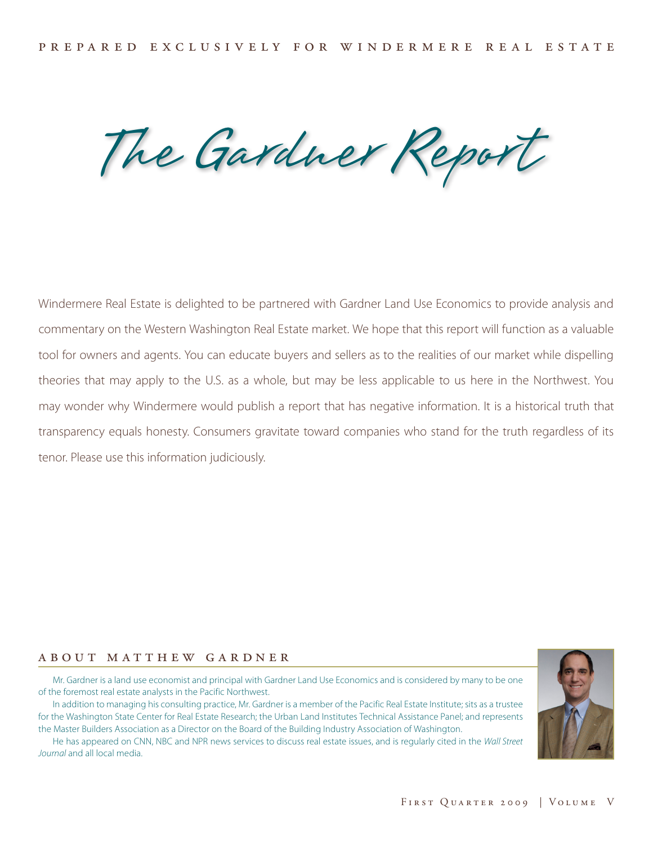The Gardner Report

Windermere Real Estate is delighted to be partnered with Gardner Land Use Economics to provide analysis and commentary on the Western Washington Real Estate market. We hope that this report will function as a valuable tool for owners and agents. You can educate buyers and sellers as to the realities of our market while dispelling theories that may apply to the U.S. as a whole, but may be less applicable to us here in the Northwest. You may wonder why Windermere would publish a report that has negative information. It is a historical truth that transparency equals honesty. Consumers gravitate toward companies who stand for the truth regardless of its tenor. Please use this information judiciously.

# a b o u t m a t t h e w g a r d n e r

Mr. Gardner is a land use economist and principal with Gardner Land Use Economics and is considered by many to be one of the foremost real estate analysts in the Pacific Northwest.

In addition to managing his consulting practice, Mr. Gardner is a member of the Pacific Real Estate Institute; sits as a trustee for the Washington State Center for Real Estate Research; the Urban Land Institutes Technical Assistance Panel; and represents the Master Builders Association as a Director on the Board of the Building Industry Association of Washington.

He has appeared on CNN, NBC and NPR news services to discuss real estate issues, and is regularly cited in the *Wall Street Journal* and all local media.

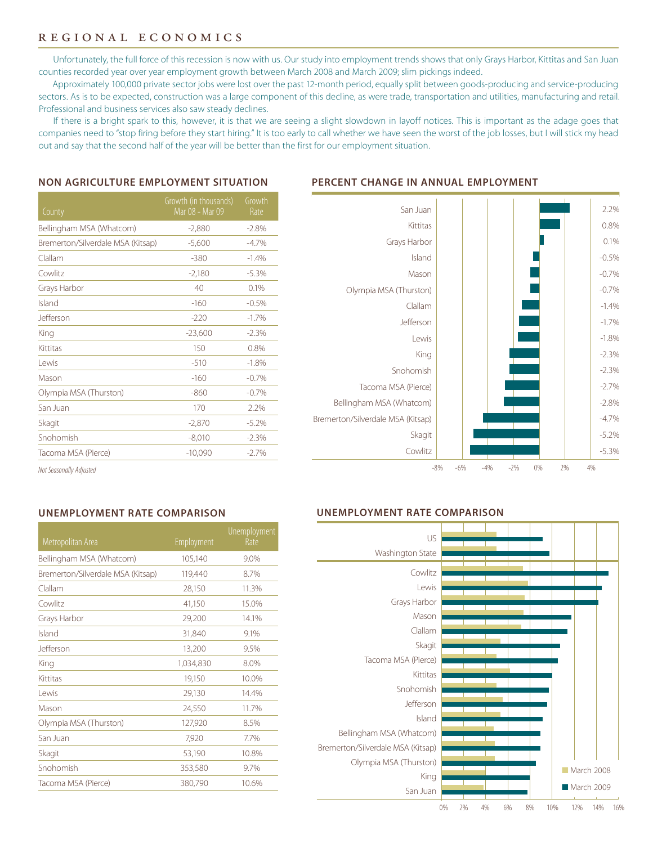# regional economics

Unfortunately, the full force of this recession is now with us. Our study into employment trends shows that only Grays Harbor, Kittitas and San Juan counties recorded year over year employment growth between March 2008 and March 2009; slim pickings indeed.

Approximately 100,000 private sector jobs were lost over the past 12-month period, equally split between goods-producing and service-producing sectors. As is to be expected, construction was a large component of this decline, as were trade, transportation and utilities, manufacturing and retail. Professional and business services also saw steady declines.

If there is a bright spark to this, however, it is that we are seeing a slight slowdown in layoff notices. This is important as the adage goes that companies need to "stop firing before they start hiring." It is too early to call whether we have seen the worst of the job losses, but I will stick my head out and say that the second half of the year will be better than the first for our employment situation.

#### **NON AGRICULTURE EMPLOYMENT SITUATION**

### **PERCENT CHANGE IN ANNUAL EMPLOYMENT**

| County                            | Growth (in thousands)<br>Mar 08 - Mar 09 | Growth<br>Rate |
|-----------------------------------|------------------------------------------|----------------|
| Bellingham MSA (Whatcom)          | $-2,880$                                 | $-2.8\%$       |
| Bremerton/Silverdale MSA (Kitsap) | $-5,600$                                 | $-4.7%$        |
| Clallam                           | $-380$                                   | $-1.4%$        |
| Cowlitz                           | $-2,180$                                 | $-5.3%$        |
| Grays Harbor                      | 40                                       | 0.1%           |
| Island                            | $-160$                                   | $-0.5%$        |
| Jefferson                         | $-220$                                   | $-1.7%$        |
| King                              | $-23,600$                                | $-2.3%$        |
| Kittitas                          | 150                                      | 0.8%           |
| l ewis                            | $-510$                                   | $-1.8%$        |
| Mason                             | $-160$                                   | $-0.7%$        |
| Olympia MSA (Thurston)            | $-860$                                   | $-0.7%$        |
| San Juan                          | 170                                      | 2.2%           |
| Skagit                            | $-2,870$                                 | $-5.2%$        |
| Snohomish                         | $-8,010$                                 | $-2.3%$        |
| Tacoma MSA (Pierce)               | $-10,090$                                | $-2.7%$        |



*Not Seasonally Adjusted*

### **UNEMPLOYMENT RATE COMPARISON**

| <b>Metropolitan Area</b>          | <b>Employment</b> | <b>Unemployment</b><br>Rate |
|-----------------------------------|-------------------|-----------------------------|
| Bellingham MSA (Whatcom)          | 105,140           | 9.0%                        |
| Bremerton/Silverdale MSA (Kitsap) | 119,440           | 8.7%                        |
| Clallam                           | 28,150            | 11.3%                       |
| Cowlitz                           | 41,150            | 15.0%                       |
| Grays Harbor                      | 29,200            | 14.1%                       |
| Island                            | 31,840            | 9.1%                        |
| Jefferson                         | 13,200            | 9.5%                        |
| King                              | 1,034,830         | 8.0%                        |
| Kittitas                          | 19,150            | 10.0%                       |
| Lewis                             | 29,130            | 14.4%                       |
| Mason                             | 24,550            | 11.7%                       |
| Olympia MSA (Thurston)            | 127,920           | 8.5%                        |
| San Juan                          | 7,920             | 7.7%                        |
| Skagit                            | 53,190            | 10.8%                       |
| Snohomish                         | 353,580           | 9.7%                        |
| Tacoma MSA (Pierce)               | 380,790           | 10.6%                       |

### **UNEMPLOYMENT RATE COMPARISON**

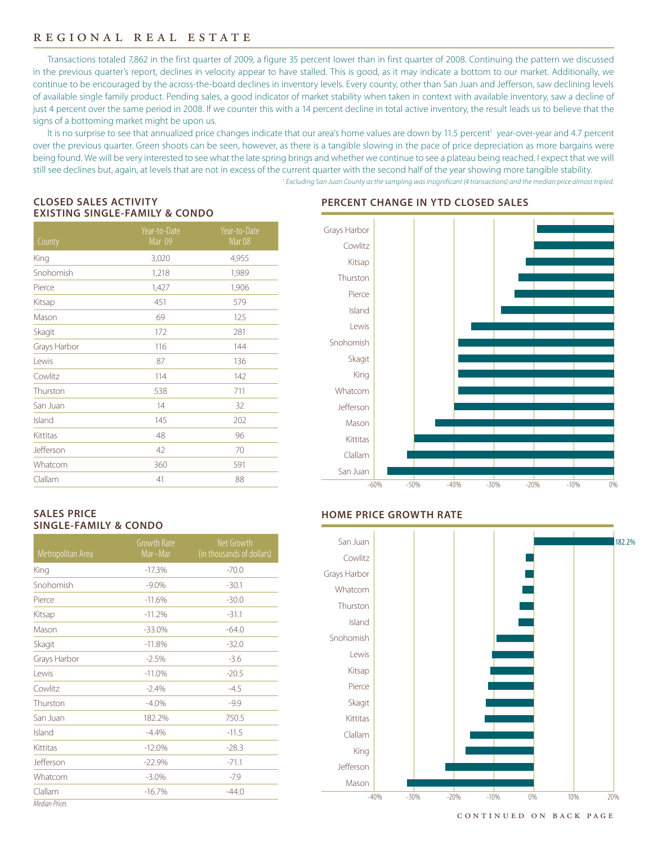# regional real estate

Transactions totaled 7,862 in the first quarter of 2009, a figure 35 percent lower than in first quarter of 2008. Continuing the pattern we discussed in the previous quarter's report, declines in velocity appear to have stalled. This is good, as it may indicate a bottom to our market. Additionally, we continue to be encouraged by the across-the-board declines in inventory levels. Every county, other than San Juan and Jefferson, saw declining levels of available single family product. Pending sales, a good indicator of market stability when taken in context with available inventory, saw a decline of just 4 percent over the same period in 2008. If we counter this with a 14 percent decline in total active inventory, the result leads us to believe that the signs of a bottoming market might be upon us.

It is no surprise to see that annualized price changes indicate that our area's home values are down by 11.5 percent<sup>1</sup> year-over-year and 4.7 percent over the previous quarter. Green shoots can be seen, however, as there is a tangible slowing in the pace of price depreciation as more bargains were being found. We will be very interested to see what the late spring brings and whether we continue to see a plateau being reached. I expect that we will still see declines but, again, at levels that are not in excess of the current quarter with the second half of the year showing more tangible stability. *1 Excluding San Juan County as the sampling was insignificant (4 transactions) and the median price almost tripled.*

## **CLOSED SALES ACTIVITY EXISTING SINGLE-FAMILY & CONDO**

| County       | Year-to-Date<br>Mar 09 | Year-to-Date<br>Mar <sub>08</sub> |
|--------------|------------------------|-----------------------------------|
| King         | 3,020                  | 4,955                             |
| Snohomish    | 1,218                  | 1,989                             |
| Pierce       | 1,427                  | 1,906                             |
| Kitsap       | 451                    | 579                               |
| Mason        | 69                     | 125                               |
| Skagit       | 172                    | 281                               |
| Grays Harbor | 116                    | 144                               |
| Lewis        | 87                     | 136                               |
| Cowlitz      | 114                    | 142                               |
| Thurston     | 538                    | 711                               |
| San Juan     | 14                     | 32                                |
| Island       | 145                    | 202                               |
| Kittitas     | 48                     | 96                                |
| Jefferson    | 42                     | 70                                |
| Whatcom      | 360                    | 591                               |
| Clallam      | 41                     | 88                                |

## **PERCENT CHANGE IN YTD CLOSED SALES**



### **SALES PRICE SINGLE-FAMILY & CONDO**

| Metropolitan Area    | Growth Rate<br>Mar-Mar | Net Growth<br>(in thousands of dollars) |
|----------------------|------------------------|-----------------------------------------|
| King                 | $-17.3%$               | $-70.0$                                 |
| Snohomish            | $-9.0\%$               | $-30.1$                                 |
| Pierce               | $-11.6%$               | $-30.0$                                 |
| Kitsap               | $-11.2%$               | $-31.1$                                 |
| Mason                | $-33.0%$               | $-64.0$                                 |
| Skagit               | $-11.8%$               | $-32.0$                                 |
| Grays Harbor         | $-2.5%$                | $-3.6$                                  |
| l ewis               | $-11.0%$               | $-20.5$                                 |
| Cowlitz              | $-2.4%$                | $-4.5$                                  |
| Thurston             | $-4.0%$                | $-9.9$                                  |
| San Juan             | 182.2%                 | 750.5                                   |
| Island               | $-4.4%$                | $-11.5$                                 |
| Kittitas             | $-12.0%$               | $-28.3$                                 |
| Jefferson            | $-22.9%$               | $-71.1$                                 |
| Whatcom              | $-3.0%$                | $-7.9$                                  |
| Clallam              | $-16.7%$               | $-44.0$                                 |
| <b>Median Prices</b> |                        |                                         |

## **HOME PRICE GROWTH RATE**



continued on back page